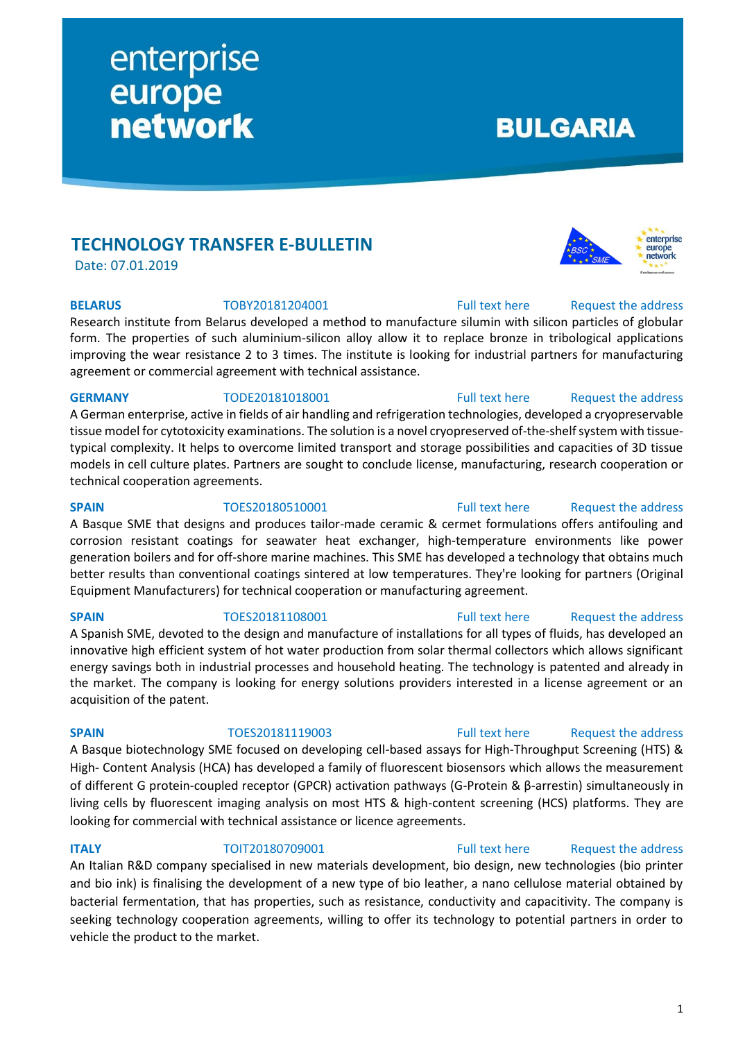## **TECHNOLOGY TRANSFER E-BULLETIN**

enterprise

network

europe

Date: 07.01.2019

Research institute from Belarus developed a method to manufacture silumin with silicon particles of globular form. The properties of such aluminium-silicon alloy allow it to replace bronze in tribological applications improving the wear resistance 2 to 3 times. The institute is looking for industrial partners for manufacturing agreement or commercial agreement with technical assistance.

### GERMANY **TODE20181018001** [Full text here](https://een.ec.europa.eu/tools/services/PRO/Profile/Detail/2aacf2d7-8ea1-4d25-9fe0-269a413a037d) Request the address

A German enterprise, active in fields of air handling and refrigeration technologies, developed a cryopreservable tissue model for cytotoxicity examinations. The solution is a novel cryopreserved of-the-shelf system with tissuetypical complexity. It helps to overcome limited transport and storage possibilities and capacities of 3D tissue models in cell culture plates. Partners are sought to conclude license, manufacturing, research cooperation or technical cooperation agreements.

A Basque SME that designs and produces tailor-made ceramic & cermet formulations offers antifouling and corrosion resistant coatings for seawater heat exchanger, high-temperature environments like power generation boilers and for off-shore marine machines. This SME has developed a technology that obtains much better results than conventional coatings sintered at low temperatures. They're looking for partners (Original Equipment Manufacturers) for technical cooperation or manufacturing agreement.

### **SPAIN** TOES20181108001 [Full text here](https://een.ec.europa.eu/tools/services/PRO/Profile/Detail/d4bff5a5-a05e-4e61-be4f-8c877b25523f) Request [the address](http://www.een.bg/index.php?option=com_rsform&formId=13)

### A Spanish SME, devoted to the design and manufacture of installations for all types of fluids, has developed an innovative high efficient system of hot water production from solar thermal collectors which allows significant energy savings both in industrial processes and household heating. The technology is patented and already in the market. The company is looking for energy solutions providers interested in a license agreement or an acquisition of the patent.

### A Basque biotechnology SME focused on developing cell-based assays for High-Throughput Screening (HTS) & High- Content Analysis (HCA) has developed a family of fluorescent biosensors which allows the measurement of different G protein-coupled receptor (GPCR) activation pathways (G-Protein & β-arrestin) simultaneously in living cells by fluorescent imaging analysis on most HTS & high-content screening (HCS) platforms. They are looking for commercial with technical assistance or licence agreements.

### **ITALY TOIT20180709001** [Full text here](https://een.ec.europa.eu/tools/services/PRO/Profile/Detail/01f9d0a8-897d-4ebd-8899-1423bc496604) Request the address

An Italian R&D company specialised in new materials development, bio design, new technologies (bio printer and bio ink) is finalising the development of a new type of bio leather, a nano cellulose material obtained by bacterial fermentation, that has properties, such as resistance, conductivity and capacitivity. The company is seeking technology cooperation agreements, willing to offer its technology to potential partners in order to vehicle the product to the market.

**BULGARIA** 

enterprise europe network

## **SPAIN** TOES20180510001 [Full text here](https://een.ec.europa.eu/tools/services/PRO/Profile/Detail/87b1bac4-6ff5-4df0-a987-4523c165b434) Request the address

### **SPAIN** TOES20181119003 [Full text here](https://een.ec.europa.eu/tools/services/PRO/Profile/Detail/47ea0458-634f-43ca-990c-0e041cb2436c) Request [the address](http://www.een.bg/index.php?option=com_rsform&formId=13)

**BELARUS** TOBY20181204001 [Full text here](https://een.ec.europa.eu/tools/services/PRO/Profile/Detail/d4e4f979-c7a7-4f7d-a84b-a70b7aa07cf4) Request the address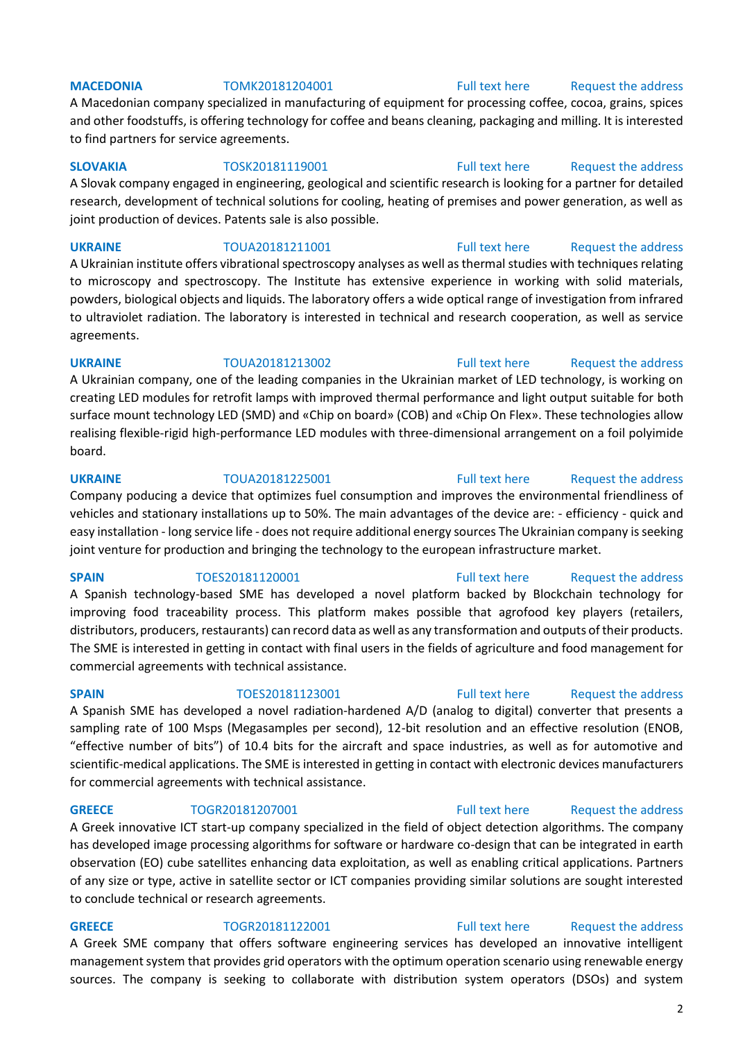### **MACEDONIA** TOMK20181204001 [Full text here](https://een.ec.europa.eu/tools/services/PRO/Profile/Detail/773c39d1-1d34-4aea-a242-62be3938dc1f) Request the address

A Macedonian company specialized in manufacturing of equipment for processing coffee, cocoa, grains, spices and other foodstuffs, is offering technology for coffee and beans cleaning, packaging and milling. It is interested to find partners for service agreements.

### **SLOVAKIA** TOSK20181119001 [Full text here](https://een.ec.europa.eu/tools/services/PRO/Profile/Detail/fe98a919-0a89-482d-92fc-9f803e3abd12) Request [the address](http://www.een.bg/index.php?option=com_rsform&formId=13)

A Slovak company engaged in engineering, geological and scientific research is looking for a partner for detailed research, development of technical solutions for cooling, heating of premises and power generation, as well as joint production of devices. Patents sale is also possible.

### **UKRAINE** TOUA20181211001 [Full text here](https://een.ec.europa.eu/tools/services/PRO/Profile/Detail/0906f9ad-640e-46ad-bbb5-22702fae015f) Request [the address](http://www.een.bg/index.php?option=com_rsform&formId=13) A Ukrainian institute offers vibrational spectroscopy analyses as well as thermal studies with techniques relating

to microscopy and spectroscopy. The Institute has extensive experience in working with solid materials, powders, biological objects and liquids. The laboratory offers a wide optical range of investigation from infrared to ultraviolet radiation. The laboratory is interested in technical and research cooperation, as well as service agreements.

### **UKRAINE** TOUA20181213002 [Full text here](https://een.ec.europa.eu/tools/services/PRO/Profile/Detail/50aaf00b-d3fc-44c6-bcd5-b6ce4a3e1e71) Request [the address](http://www.een.bg/index.php?option=com_rsform&formId=13)

A Ukrainian company, one of the leading companies in the Ukrainian market of LED technology, is working on creating LED modules for retrofit lamps with improved thermal performance and light output suitable for both surface mount technology LED (SMD) and «Chip on board» (COB) and «Chip On Flex». These technologies allow realising flexible-rigid high-performance LED modules with three-dimensional arrangement on a foil polyimide board.

### **UKRAINE** TOUA20181225001 [Full text here](https://een.ec.europa.eu/tools/services/PRO/Profile/Detail/5c085482-d867-46f9-90df-02f4ce8498a3) Request the address Company poducing a device that optimizes fuel consumption and improves the environmental friendliness of vehicles and stationary installations up to 50%. The main advantages of the device are: - efficiency - quick and easy installation - long service life - does not require additional energy sources The Ukrainian company is seeking joint venture for production and bringing the technology to the european infrastructure market.

### **SPAIN** TOES20181120001 [Full text here](https://een.ec.europa.eu/tools/services/PRO/Profile/Detail/d219f02c-5f84-4c63-b364-80521f9f8392) Request the address

A Spanish technology-based SME has developed a novel platform backed by Blockchain technology for improving food traceability process. This platform makes possible that agrofood key players (retailers, distributors, producers, restaurants) can record data as well as any transformation and outputs of their products. The SME is interested in getting in contact with final users in the fields of agriculture and food management for commercial agreements with technical assistance.

A Spanish SME has developed a novel radiation-hardened A/D (analog to digital) converter that presents a sampling rate of 100 Msps (Megasamples per second), 12-bit resolution and an effective resolution (ENOB, "effective number of bits") of 10.4 bits for the aircraft and space industries, as well as for automotive and scientific-medical applications. The SME is interested in getting in contact with electronic devices manufacturers for commercial agreements with technical assistance.

### **GREECE** TOGR20181207001 [Full text here](https://een.ec.europa.eu/tools/services/PRO/Profile/Detail/820026ff-ed01-4818-9128-9f4895a7aa5f) Request the address

A Greek innovative ICT start-up company specialized in the field of object detection algorithms. The company has developed image processing algorithms for software or hardware co-design that can be integrated in earth observation (EO) cube satellites enhancing data exploitation, as well as enabling critical applications. Partners of any size or type, active in satellite sector or ICT companies providing similar solutions are sought interested to conclude technical or research agreements.

### **GREECE** TOGR20181122001 [Full text here](https://een.ec.europa.eu/tools/services/PRO/Profile/Detail/3b4dc91f-7580-4c80-92f6-29f414f9b639) Request the address A Greek SME company that offers software engineering services has developed an innovative intelligent management system that provides grid operators with the optimum operation scenario using renewable energy

sources. The company is seeking to collaborate with distribution system operators (DSOs) and system

### 2

### **SPAIN** TOES20181123001 [Full text here](https://een.ec.europa.eu/tools/services/PRO/Profile/Detail/54b7aec9-6a1b-4d2c-8424-93d7e97804eb) Request [the address](http://www.een.bg/index.php?option=com_rsform&formId=13)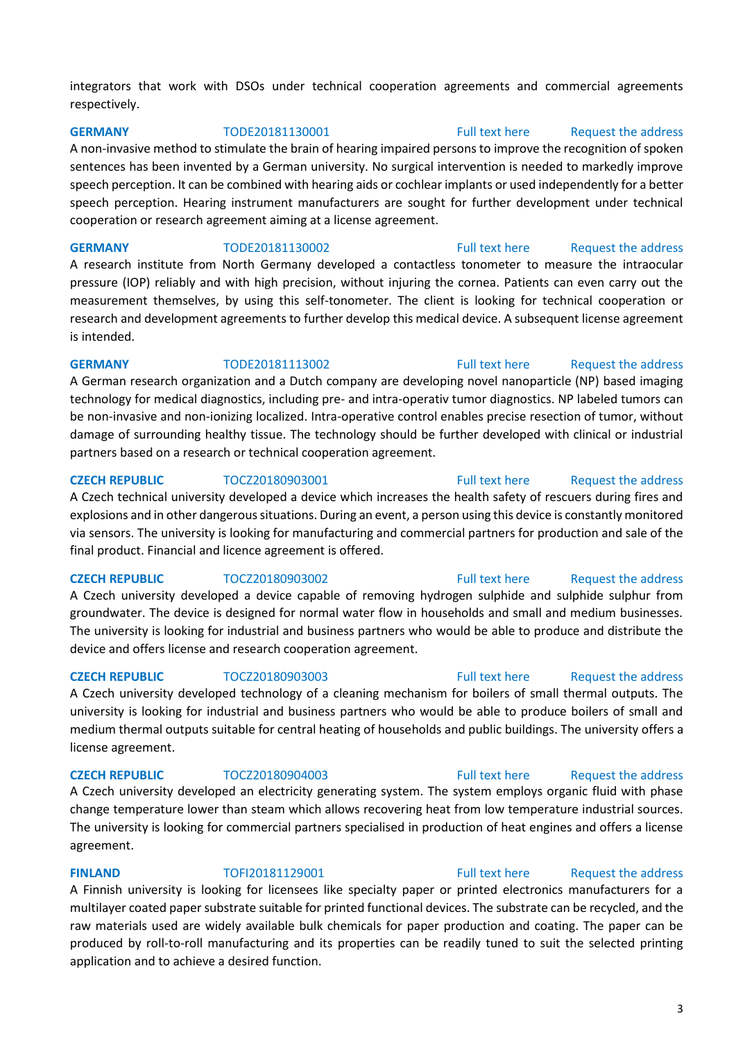integrators that work with DSOs under technical cooperation agreements and commercial agreements respectively.

**GERMANY** TODE20181130001 [Full text here](https://een.ec.europa.eu/tools/services/PRO/Profile/Detail/8257e8c9-6814-4904-9e36-cfa6e2b84d8e) Request [the address](http://www.een.bg/index.php?option=com_rsform&formId=13) 

A non-invasive method to stimulate the brain of hearing impaired persons to improve the recognition of spoken sentences has been invented by a German university. No surgical intervention is needed to markedly improve speech perception. It can be combined with hearing aids or cochlear implants or used independently for a better speech perception. Hearing instrument manufacturers are sought for further development under technical cooperation or research agreement aiming at a license agreement.

**GERMANY** TODE20181130002 [Full text here](https://een.ec.europa.eu/tools/services/PRO/Profile/Detail/ad4262fa-789f-46de-a822-770e8e0a5086) Request the address A research institute from North Germany developed a contactless tonometer to measure the intraocular pressure (IOP) reliably and with high precision, without injuring the cornea. Patients can even carry out the measurement themselves, by using this self-tonometer. The client is looking for technical cooperation or research and development agreements to further develop this medical device. A subsequent license agreement is intended.

**GERMANY** TODE20181113002 [Full text here](https://een.ec.europa.eu/tools/services/PRO/Profile/Detail/4eb1fdcf-957c-45d4-b958-5797b464c0c4) Request the address A German research organization and a Dutch company are developing novel nanoparticle (NP) based imaging technology for medical diagnostics, including pre- and intra-operativ tumor diagnostics. NP labeled tumors can be non-invasive and non-ionizing localized. Intra-operative control enables precise resection of tumor, without damage of surrounding healthy tissue. The technology should be further developed with clinical or industrial partners based on a research or technical cooperation agreement.

**CZECH REPUBLIC** TOCZ20180903001 [Full text here](https://een.ec.europa.eu/tools/services/PRO/Profile/Detail/864b92c5-32fd-4b04-8801-874b07398d5a) Request the address A Czech technical university developed a device which increases the health safety of rescuers during fires and explosions and in other dangerous situations. During an event, a person using this device is constantly monitored via sensors. The university is looking for manufacturing and commercial partners for production and sale of the final product. Financial and licence agreement is offered.

A Czech university developed a device capable of removing hydrogen sulphide and sulphide sulphur from groundwater. The device is designed for normal water flow in households and small and medium businesses. The university is looking for industrial and business partners who would be able to produce and distribute the device and offers license and research cooperation agreement.

### **CZECH REPUBLIC** TOCZ20180903003 **[Full text here](https://een.ec.europa.eu/tools/services/PRO/Profile/Detail/c0d87316-0510-46a7-8251-26b5b28952dc)** Request the address

A Czech university developed technology of a cleaning mechanism for boilers of small thermal outputs. The university is looking for industrial and business partners who would be able to produce boilers of small and medium thermal outputs suitable for central heating of households and public buildings. The university offers a license agreement.

A Czech university developed an electricity generating system. The system employs organic fluid with phase change temperature lower than steam which allows recovering heat from low temperature industrial sources. The university is looking for commercial partners specialised in production of heat engines and offers a license agreement.

### **FINLAND** TOFI20181129001 [Full text here](https://een.ec.europa.eu/tools/services/PRO/Profile/Detail/a580f6bd-bb1c-4da0-8aea-e30ea7b9df09) Request the address

A Finnish university is looking for licensees like specialty paper or printed electronics manufacturers for a multilayer coated paper substrate suitable for printed functional devices. The substrate can be recycled, and the raw materials used are widely available bulk chemicals for paper production and coating. The paper can be produced by roll-to-roll manufacturing and its properties can be readily tuned to suit the selected printing application and to achieve a desired function.

### 3

### **CZECH REPUBLIC** TOCZ20180903002 [Full text here](https://een.ec.europa.eu/tools/services/PRO/Profile/Detail/da393221-c6b5-47b4-82d4-ae3ff72e40c8) Request [the address](http://www.een.bg/index.php?option=com_rsform&formId=13)

## **CZECH REPUBLIC** TOCZ20180904003 [Full text here](https://een.ec.europa.eu/tools/services/PRO/Profile/Detail/943929f9-49b2-42fb-bfd7-f1703c68cb17) Request the address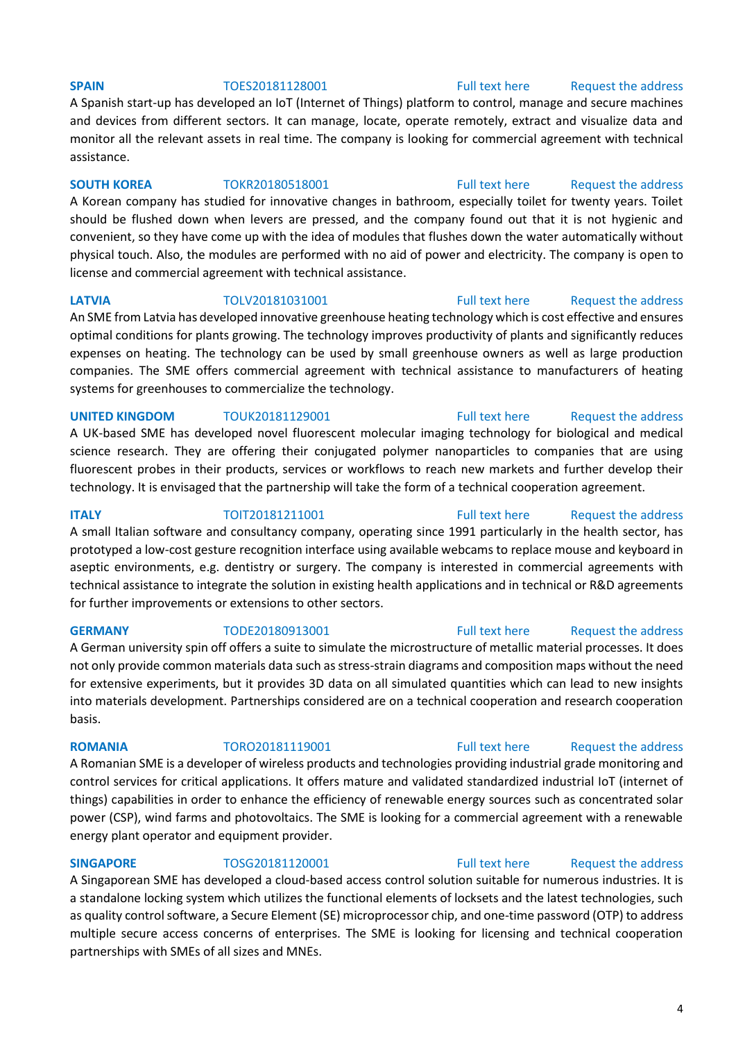### **SPAIN** TOES20181128001 [Full text here](https://een.ec.europa.eu/tools/services/PRO/Profile/Detail/2efaf4c1-a390-4d72-912e-3af834f0a8fc) Request the address

A Spanish start-up has developed an IoT (Internet of Things) platform to control, manage and secure machines and devices from different sectors. It can manage, locate, operate remotely, extract and visualize data and monitor all the relevant assets in real time. The company is looking for commercial agreement with technical assistance.

### **SOUTH KOREA** TOKR20180518001 [Full text here](https://een.ec.europa.eu/tools/services/PRO/Profile/Detail/a5670701-c154-4fe5-9146-ae236a7849f8) Request the address

A Korean company has studied for innovative changes in bathroom, especially toilet for twenty years. Toilet should be flushed down when levers are pressed, and the company found out that it is not hygienic and convenient, so they have come up with the idea of modules that flushes down the water automatically without physical touch. Also, the modules are performed with no aid of power and electricity. The company is open to license and commercial agreement with technical assistance.

### **LATVIA** TOLV20181031001 [Full text here](https://een.ec.europa.eu/tools/services/PRO/Profile/Detail/64217e32-e31c-434f-8dc6-991636e2f588) Request the address

An SME from Latvia has developed innovative greenhouse heating technology which is cost effective and ensures optimal conditions for plants growing. The technology improves productivity of plants and significantly reduces expenses on heating. The technology can be used by small greenhouse owners as well as large production companies. The SME offers commercial agreement with technical assistance to manufacturers of heating systems for greenhouses to commercialize the technology.

### **UNITED KINGDOM** TOUK20181129001 [Full text here](https://een.ec.europa.eu/tools/services/PRO/Profile/Detail/e732434f-d481-45a5-b452-c95e35b21705) Request the address

A UK-based SME has developed novel fluorescent molecular imaging technology for biological and medical science research. They are offering their conjugated polymer nanoparticles to companies that are using fluorescent probes in their products, services or workflows to reach new markets and further develop their technology. It is envisaged that the partnership will take the form of a technical cooperation agreement.

prototyped a low-cost gesture recognition interface using available webcams to replace mouse and keyboard in aseptic environments, e.g. dentistry or surgery. The company is interested in commercial agreements with

### technical assistance to integrate the solution in existing health applications and in technical or R&D agreements for further improvements or extensions to other sectors.

### **GERMANY** TODE20180913001 [Full text here](https://een.ec.europa.eu/tools/services/PRO/Profile/Detail/93b45a81-6393-4c95-96ab-fd01e1b13bc9) Request the address

A German university spin off offers a suite to simulate the microstructure of metallic material processes. It does not only provide common materials data such as stress-strain diagrams and composition maps without the need for extensive experiments, but it provides 3D data on all simulated quantities which can lead to new insights into materials development. Partnerships considered are on a technical cooperation and research cooperation basis.

### A Romanian SME is a developer of wireless products and technologies providing industrial grade monitoring and control services for critical applications. It offers mature and validated standardized industrial IoT (internet of things) capabilities in order to enhance the efficiency of renewable energy sources such as concentrated solar power (CSP), wind farms and photovoltaics. The SME is looking for a commercial agreement with a renewable energy plant operator and equipment provider.

partnerships with SMEs of all sizes and MNEs.

**SINGAPORE** TOSG20181120001 [Full text here](https://een.ec.europa.eu/tools/services/PRO/Profile/Detail/b0788536-2040-4d2d-94ac-a04f4f97263f) Request the address A Singaporean SME has developed a cloud-based access control solution suitable for numerous industries. It is a standalone locking system which utilizes the functional elements of locksets and the latest technologies, such as quality control software, a Secure Element (SE) microprocessor chip, and one-time password (OTP) to address multiple secure access concerns of enterprises. The SME is looking for licensing and technical cooperation

### **ITALY TOIT20181211001** [Full text here](https://een.ec.europa.eu/tools/services/PRO/Profile/Detail/1268567b-3e1b-4605-83b0-70d8caa75831) Request the address A small Italian software and consultancy company, operating since 1991 particularly in the health sector, has

## **ROMANIA** TORO20181119001 [Full text here](https://een.ec.europa.eu/tools/services/PRO/Profile/Detail/52813954-f246-4de6-84ba-8c758cf0ccc3) Request the address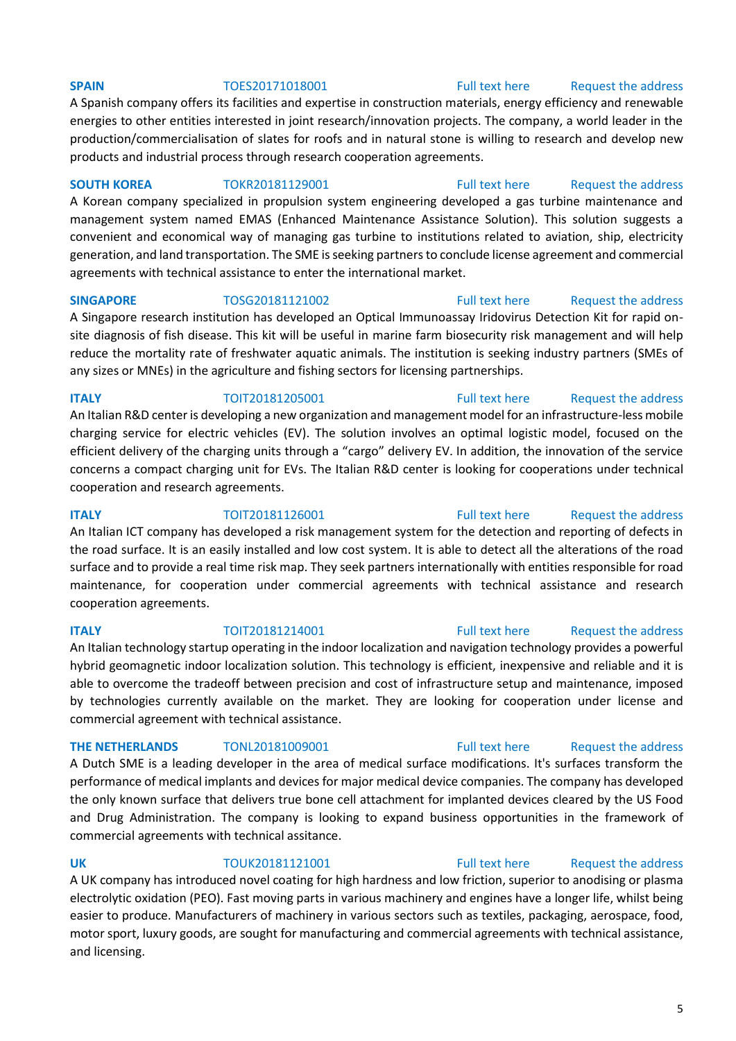### **SPAIN** TOES20171018001 [Full text here](https://een.ec.europa.eu/tools/services/PRO/Profile/Detail/5add195d-3290-4c77-b23c-bc0df638fd2f) Request the address

A Spanish company offers its facilities and expertise in construction materials, energy efficiency and renewable energies to other entities interested in joint research/innovation projects. The company, a world leader in the production/commercialisation of slates for roofs and in natural stone is willing to research and develop new products and industrial process through research cooperation agreements.

### **SOUTH KOREA** TOKR20181129001 [Full text](https://een.ec.europa.eu/tools/services/PRO/Profile/Detail/46dbc483-7129-412d-8709-4dcf91251cca) here Request the address

A Korean company specialized in propulsion system engineering developed a gas turbine maintenance and management system named EMAS (Enhanced Maintenance Assistance Solution). This solution suggests a convenient and economical way of managing gas turbine to institutions related to aviation, ship, electricity generation, and land transportation. The SME is seeking partners to conclude license agreement and commercial agreements with technical assistance to enter the international market.

### **SINGAPORE** TOSG20181121002 [Full text here](https://een.ec.europa.eu/tools/services/PRO/Profile/Detail/84b067d0-6b37-44e7-a8fc-516855e0164e) Request the address

A Singapore research institution has developed an Optical Immunoassay Iridovirus Detection Kit for rapid onsite diagnosis of fish disease. This kit will be useful in marine farm biosecurity risk management and will help reduce the mortality rate of freshwater aquatic animals. The institution is seeking industry partners (SMEs of any sizes or MNEs) in the agriculture and fishing sectors for licensing partnerships.

### **ITALY TOIT20181205001** [Full text here](https://een.ec.europa.eu/tools/services/PRO/Profile/Detail/1092ef3c-75d7-4b39-b8ed-36bd6e6d256b) Request the address An Italian R&D center is developing a new organization and management model for an infrastructure-less mobile charging service for electric vehicles (EV). The solution involves an optimal logistic model, focused on the efficient delivery of the charging units through a "cargo" delivery EV. In addition, the innovation of the service concerns a compact charging unit for EVs. The Italian R&D center is looking for cooperations under technical cooperation and research agreements.

the road surface. It is an easily installed and low cost system. It is able to detect all the alterations of the road

maintenance, for cooperation under commercial agreements with technical assistance and research

### **ITALY TOIT20181126001** [Full text here](https://een.ec.europa.eu/tools/services/PRO/Profile/Detail/55e933ac-a96d-44d1-b7ef-36393cc63f1d) Request the address

### surface and to provide a real time risk map. They seek partners internationally with entities responsible for road

### **ITALY TOIT20181214001** [Full text here](https://een.ec.europa.eu/tools/services/PRO/Profile/Detail/062cf266-9325-47ad-a86f-27b51a7048dd) Request the address

An Italian technology startup operating in the indoor localization and navigation technology provides a powerful hybrid geomagnetic indoor localization solution. This technology is efficient, inexpensive and reliable and it is able to overcome the tradeoff between precision and cost of infrastructure setup and maintenance, imposed by technologies currently available on the market. They are looking for cooperation under license and commercial agreement with technical assistance.

cooperation agreements.

A Dutch SME is a leading developer in the area of medical surface modifications. It's surfaces transform the performance of medical implants and devices for major medical device companies. The company has developed the only known surface that delivers true bone cell attachment for implanted devices cleared by the US Food and Drug Administration. The company is looking to expand business opportunities in the framework of commercial agreements with technical assitance.

### **UK** TOUK20181121001 [Full text here](https://een.ec.europa.eu/tools/services/PRO/Profile/Detail/3135fb25-709a-4437-9fca-a1beb366ff78) Request the address

A UK company has introduced novel coating for high hardness and low friction, superior to anodising or plasma electrolytic oxidation (PEO). Fast moving parts in various machinery and engines have a longer life, whilst being easier to produce. Manufacturers of machinery in various sectors such as textiles, packaging, aerospace, food, motor sport, luxury goods, are sought for manufacturing and commercial agreements with technical assistance, and licensing.

### An Italian ICT company has developed a risk management system for the detection and reporting of defects in

### **THE NETHERLANDS** TONL20181009001 [Full text here](https://een.ec.europa.eu/tools/services/PRO/Profile/Detail/7fec7016-5249-45aa-9372-efdbcaeabe33) Request the address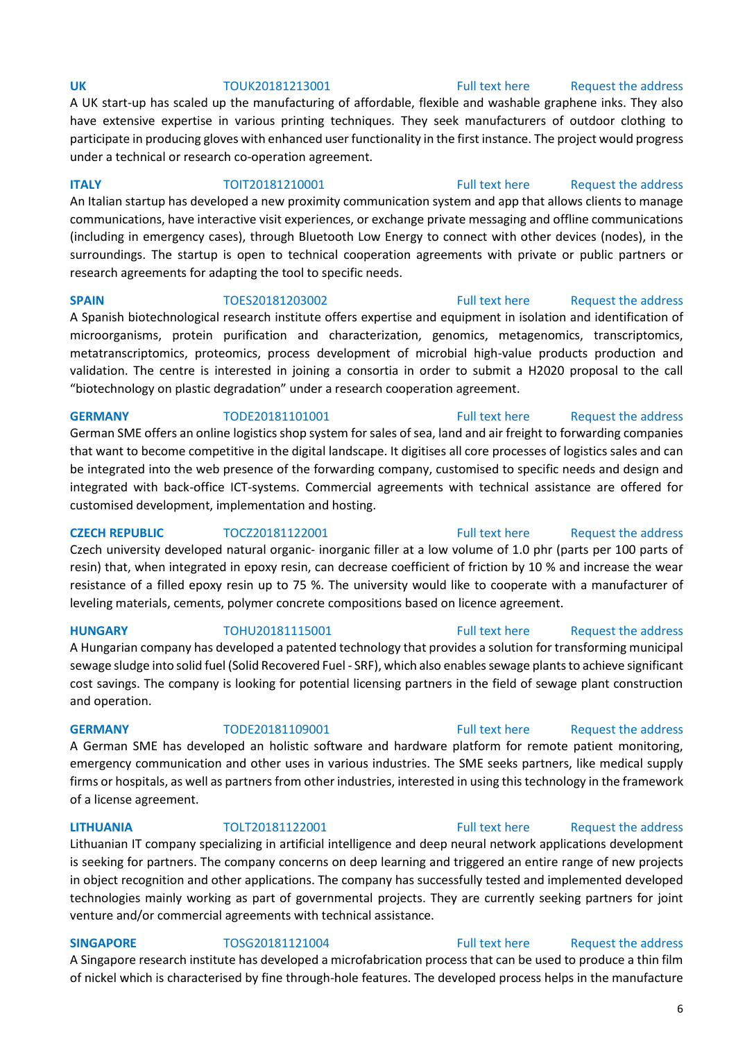### communications, have interactive visit experiences, or exchange private messaging and offline communications (including in emergency cases), through Bluetooth Low Energy to connect with other devices (nodes), in the

"biotechnology on plastic degradation" under a research cooperation agreement.

under a technical or research co-operation agreement.

research agreements for adapting the tool to specific needs. **SPAIN** TOES20181203002 [Full text here](https://een.ec.europa.eu/tools/services/PRO/Profile/Detail/027461af-0784-45eb-95f3-ccaf4cf002e9) Request the address A Spanish biotechnological research institute offers expertise and equipment in isolation and identification of microorganisms, protein purification and characterization, genomics, metagenomics, transcriptomics, metatranscriptomics, proteomics, process development of microbial high-value products production and validation. The centre is interested in joining a consortia in order to submit a H2020 proposal to the call

A UK start-up has scaled up the manufacturing of affordable, flexible and washable graphene inks. They also have extensive expertise in various printing techniques. They seek manufacturers of outdoor clothing to participate in producing gloves with enhanced user functionality in the first instance. The project would progress

**ITALY TOIT20181210001** [Full text here](https://een.ec.europa.eu/tools/services/PRO/Profile/Detail/86cc615b-f38a-417c-a4bb-6fbaa1b63488) Request the address An Italian startup has developed a new proximity communication system and app that allows clients to manage

surroundings. The startup is open to technical cooperation agreements with private or public partners or

### **GERMANY** TODE20181101001 [Full text here](https://een.ec.europa.eu/tools/services/PRO/Profile/Detail/c0010cd8-17e9-41c1-a1d1-86c92dd724b6) Request the address

German SME offers an online logistics shop system for sales of sea, land and air freight to forwarding companies that want to become competitive in the digital landscape. It digitises all core processes of logistics sales and can be integrated into the web presence of the forwarding company, customised to specific needs and design and integrated with back-office ICT-systems. Commercial agreements with technical assistance are offered for customised development, implementation and hosting.

**CZECH REPUBLIC** TOCZ20181122001 [Full text here](https://een.ec.europa.eu/tools/services/PRO/Profile/Detail/b9f76991-ed17-4029-aa82-a2bfb836611d) Request the address Czech university developed natural organic- inorganic filler at a low volume of 1.0 phr (parts per 100 parts of resin) that, when integrated in epoxy resin, can decrease coefficient of friction by 10 % and increase the wear resistance of a filled epoxy resin up to 75 %. The university would like to cooperate with a manufacturer of leveling materials, cements, polymer concrete compositions based on licence agreement.

A Hungarian company has developed a patented technology that provides a solution for transforming municipal sewage sludge into solid fuel (Solid Recovered Fuel - SRF), which also enables sewage plants to achieve significant cost savings. The company is looking for potential licensing partners in the field of sewage plant construction and operation.

A German SME has developed an holistic software and hardware platform for remote patient monitoring, emergency communication and other uses in various industries. The SME seeks partners, like medical supply firms or hospitals, as well as partners from other industries, interested in using this technology in the framework of a license agreement.

### **LITHUANIA** TOLT20181122001 [Full text here](https://een.ec.europa.eu/tools/services/PRO/Profile/Detail/a9892810-0691-44a6-b4e7-39a51c5a5386) [Request the address](http://www.een.bg/index.php?option=com_rsform&formId=13)

Lithuanian IT company specializing in artificial intelligence and deep neural network applications development is seeking for partners. The company concerns on deep learning and triggered an entire range of new projects in object recognition and other applications. The company has successfully tested and implemented developed technologies mainly working as part of governmental projects. They are currently seeking partners for joint venture and/or commercial agreements with technical assistance.

# **SINGAPORE** TOSG20181121004 [Full text here](https://een.ec.europa.eu/tools/services/PRO/Profile/Detail/2cdaa1a4-7781-406f-9379-fee1b6aceffa) Request the address

A Singapore research institute has developed a microfabrication process that can be used to produce a thin film of nickel which is characterised by fine through-hole features. The developed process helps in the manufacture

### 6

### **UK** TOUK20181213001 [Full text here](https://een.ec.europa.eu/tools/services/PRO/Profile/Detail/2e8dd0fb-7eb9-4e9f-9b32-ace114629459) Request the address

### **HUNGARY** TOHU20181115001 [Full text here](https://een.ec.europa.eu/tools/services/PRO/Profile/Detail/2f6e8c5e-de91-410e-9df2-be876e883f08) Request the address

### **GERMANY** TODE20181109001 [Full text here](https://een.ec.europa.eu/tools/services/PRO/Profile/Detail/3d417c7a-bbbc-4e63-a8ad-c3c5c3b3631a) Request the address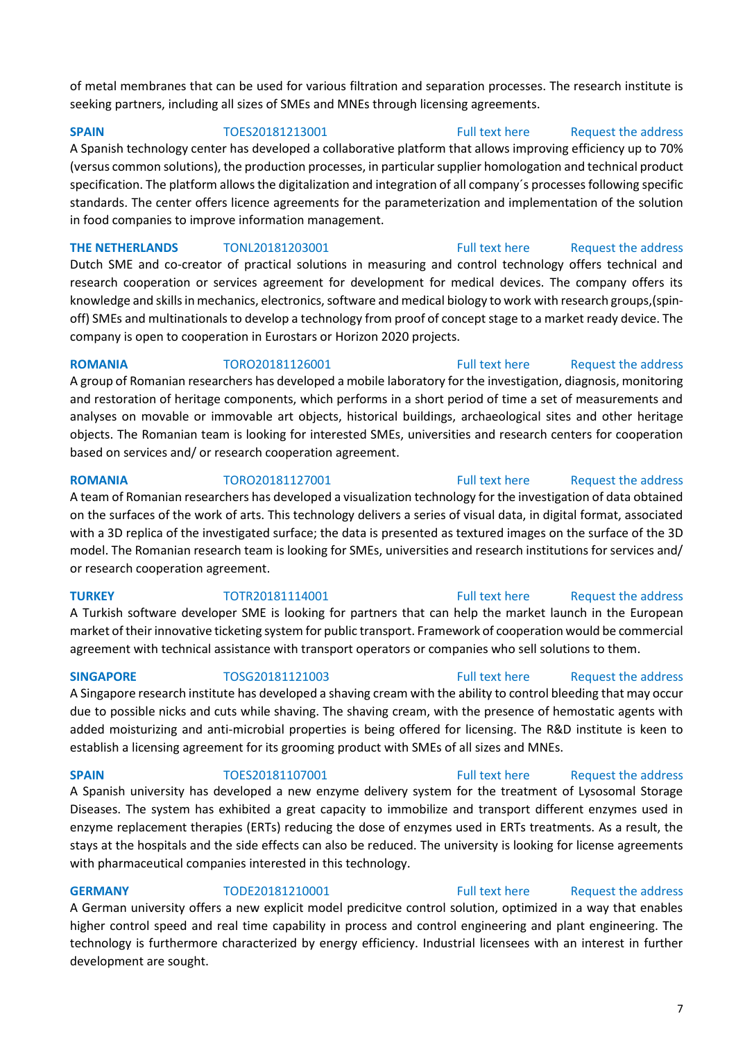of metal membranes that can be used for various filtration and separation processes. The research institute is seeking partners, including all sizes of SMEs and MNEs through licensing agreements.

**SPAIN** TOES20181213001 [Full text here](https://een.ec.europa.eu/tools/services/PRO/Profile/Detail/05658002-1a8c-4237-a8ef-c00b185e9a6c) Request the address

A Spanish technology center has developed a collaborative platform that allows improving efficiency up to 70% (versus common solutions), the production processes, in particular supplier homologation and technical product specification. The platform allows the digitalization and integration of all company´s processes following specific standards. The center offers licence agreements for the parameterization and implementation of the solution in food companies to improve information management.

**THE NETHERLANDS** TONL20181203001 [Full text here](https://een.ec.europa.eu/tools/services/PRO/Profile/Detail/9497e4a5-6614-44b8-af73-3883796dc993) Request the address Dutch SME and co-creator of practical solutions in measuring and control technology offers technical and research cooperation or services agreement for development for medical devices. The company offers its knowledge and skills in mechanics, electronics, software and medical biology to work with research groups,(spinoff) SMEs and multinationals to develop a technology from proof of concept stage to a market ready device. The company is open to cooperation in Eurostars or Horizon 2020 projects.

**ROMANIA** TORO20181126001 [Full text here](https://een.ec.europa.eu/tools/services/PRO/Profile/Detail/7ec67b31-af70-41c3-87a1-2367245347aa) Request the address A group of Romanian researchers has developed a mobile laboratory for the investigation, diagnosis, monitoring and restoration of heritage components, which performs in a short period of time a set of measurements and analyses on movable or immovable art objects, historical buildings, archaeological sites and other heritage objects. The Romanian team is looking for interested SMEs, universities and research centers for cooperation based on services and/ or research cooperation agreement.

### **ROMANIA** TORO20181127001 [Full text here](https://een.ec.europa.eu/tools/services/PRO/Profile/Detail/50bfbbd3-d3d5-480f-9d05-89e711e7e48f) Request the address

A team of Romanian researchers has developed a visualization technology for the investigation of data obtained on the surfaces of the work of arts. This technology delivers a series of visual data, in digital format, associated with a 3D replica of the investigated surface; the data is presented as textured images on the surface of the 3D model. The Romanian research team is looking for SMEs, universities and research institutions for services and/ or research cooperation agreement.

with pharmaceutical companies interested in this technology.

A Turkish software developer SME is looking for partners that can help the market launch in the European market of their innovative ticketing system for public transport. Framework of cooperation would be commercial agreement with technical assistance with transport operators or companies who sell solutions to them.

### A Singapore research institute has developed a shaving cream with the ability to control bleeding that may occur due to possible nicks and cuts while shaving. The shaving cream, with the presence of hemostatic agents with added moisturizing and anti-microbial properties is being offered for licensing. The R&D institute is keen to establish a licensing agreement for its grooming product with SMEs of all sizes and MNEs.

### A Spanish university has developed a new enzyme delivery system for the treatment of Lysosomal Storage Diseases. The system has exhibited a great capacity to immobilize and transport different enzymes used in enzyme replacement therapies (ERTs) reducing the dose of enzymes used in ERTs treatments. As a result, the stays at the hospitals and the side effects can also be reduced. The university is looking for license agreements

**GERMANY** TODE20181210001 [Full text here](https://een.ec.europa.eu/tools/services/PRO/Profile/Detail/fb1c693c-d481-4cb6-98a7-4386ff5aa39e) Request the address A German university offers a new explicit model predicitve control solution, optimized in a way that enables higher control speed and real time capability in process and control engineering and plant engineering. The technology is furthermore characterized by energy efficiency. Industrial licensees with an interest in further development are sought.

## **TURKEY** TOTR20181114001 [Full text here](https://een.ec.europa.eu/tools/services/PRO/Profile/Detail/628e06d3-5d03-4a05-9de7-64bad76f7bf1) Request the address

## **SPAIN** TOES20181107001 [Full text here](https://een.ec.europa.eu/tools/services/PRO/Profile/Detail/74f35523-4720-4037-ae86-50f6e5afd8a7) Request the address

**SINGAPORE** TOSG20181121003 [Full text here](https://een.ec.europa.eu/tools/services/PRO/Profile/Detail/ae8f5636-70cf-4f53-ad46-471fe9f43cdd) Request the address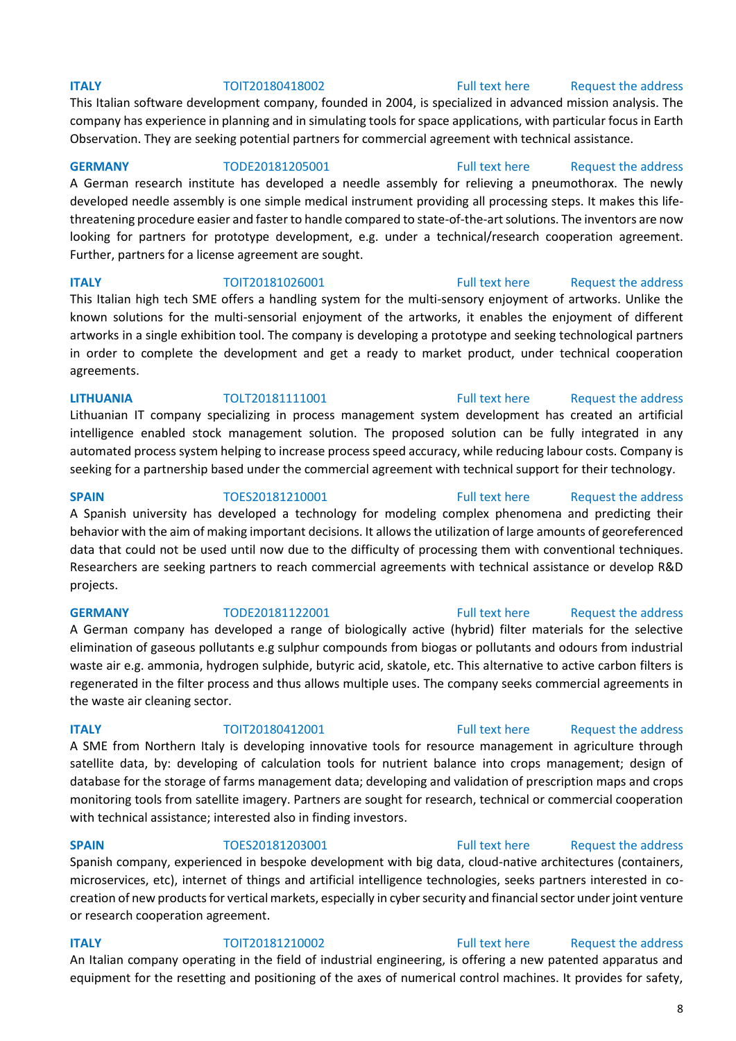### **ITALY TOIT20180418002** [Full text here](https://een.ec.europa.eu/tools/services/PRO/Profile/Detail/05929687-6dad-440b-be23-d0f636a04447) Request the address

This Italian software development company, founded in 2004, is specialized in advanced mission analysis. The company has experience in planning and in simulating tools for space applications, with particular focus in Earth Observation. They are seeking potential partners for commercial agreement with technical assistance.

### **GERMANY** TODE20181205001 [Full text here](https://een.ec.europa.eu/tools/services/PRO/Profile/Detail/a945e4d2-0328-411c-b526-b750e3fa6e7d) Request the address

A German research institute has developed a needle assembly for relieving a pneumothorax. The newly developed needle assembly is one simple medical instrument providing all processing steps. It makes this lifethreatening procedure easier and faster to handle compared to state-of-the-art solutions. The inventors are now looking for partners for prototype development, e.g. under a technical/research cooperation agreement. Further, partners for a license agreement are sought.

This Italian high tech SME offers a handling system for the multi-sensory enjoyment of artworks. Unlike the known solutions for the multi-sensorial enjoyment of the artworks, it enables the enjoyment of different artworks in a single exhibition tool. The company is developing a prototype and seeking technological partners in order to complete the development and get a ready to market product, under technical cooperation agreements.

## **LITHUANIA** TOLT20181111001 [Full text here](https://een.ec.europa.eu/tools/services/PRO/Profile/Detail/755f41db-9ef7-4eaf-85c4-203a902fd06f) [Request the address](http://www.een.bg/index.php?option=com_rsform&formId=13)  Lithuanian IT company specializing in process management system development has created an artificial

intelligence enabled stock management solution. The proposed solution can be fully integrated in any automated process system helping to increase process speed accuracy, while reducing labour costs. Company is seeking for a partnership based under the commercial agreement with technical support for their technology.

A Spanish university has developed a technology for modeling complex phenomena and predicting their behavior with the aim of making important decisions. It allows the utilization of large amounts of georeferenced data that could not be used until now due to the difficulty of processing them with conventional techniques. Researchers are seeking partners to reach commercial agreements with technical assistance or develop R&D projects.

### A German company has developed a range of biologically active (hybrid) filter materials for the selective elimination of gaseous pollutants e.g sulphur compounds from biogas or pollutants and odours from industrial waste air e.g. ammonia, hydrogen sulphide, butyric acid, skatole, etc. This alternative to active carbon filters is regenerated in the filter process and thus allows multiple uses. The company seeks commercial agreements in the waste air cleaning sector.

### **ITALY TOIT20180412001** [Full text here](https://een.ec.europa.eu/tools/services/PRO/Profile/Detail/8bb49139-8ff1-4db5-a8fc-cc150be9cc97) Request the address A SME from Northern Italy is developing innovative tools for resource management in agriculture through satellite data, by: developing of calculation tools for nutrient balance into crops management; design of database for the storage of farms management data; developing and validation of prescription maps and crops monitoring tools from satellite imagery. Partners are sought for research, technical or commercial cooperation with technical assistance; interested also in finding investors.

### **SPAIN** TOES20181203001 [Full text here](https://een.ec.europa.eu/tools/services/PRO/Profile/Detail/3eb4d25c-ffdf-476f-a1b5-2d37d6e137eb) Request the address

Spanish company, experienced in bespoke development with big data, cloud-native architectures (containers, microservices, etc), internet of things and artificial intelligence technologies, seeks partners interested in cocreation of new products for vertical markets, especially in cyber security and financial sector under joint venture or research cooperation agreement.

### **ITALY TOIT20181210002** [Full text here](https://een.ec.europa.eu/tools/services/PRO/Profile/Detail/8b5f0bc4-692a-47d3-80de-3cfd025332b1) Request the address An Italian company operating in the field of industrial engineering, is offering a new patented apparatus and equipment for the resetting and positioning of the axes of numerical control machines. It provides for safety,

### 8

### **ITALY TOIT20181026001** [Full text here](https://een.ec.europa.eu/tools/services/PRO/Profile/Detail/6f9be2d6-74cc-4294-92ed-cc388e414acd) Request the address

### **SPAIN** TOES20181210001 [Full text here](https://een.ec.europa.eu/tools/services/PRO/Profile/Detail/66091edd-013b-47e8-9a1e-960624238c59) Request the address

# **GERMANY** TODE20181122001 [Full text here](https://een.ec.europa.eu/tools/services/PRO/Profile/Detail/b51e06af-7f0c-4a70-9571-9faae2241004) Request the address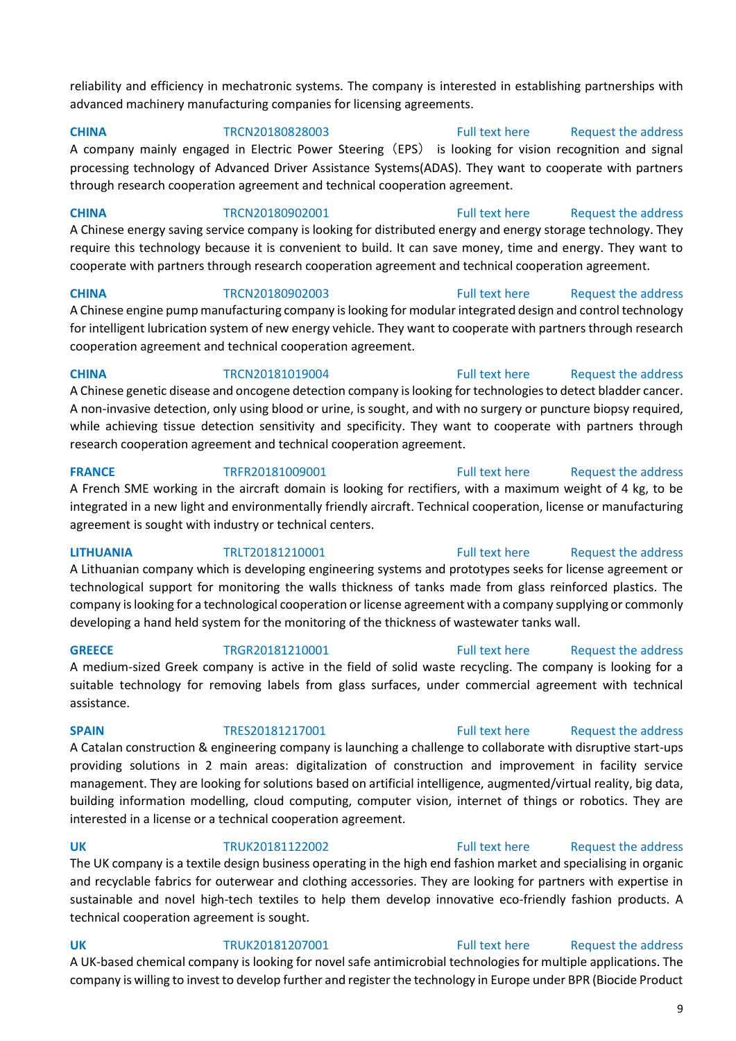reliability and efficiency in mechatronic systems. The company is interested in establishing partnerships with advanced machinery manufacturing companies for licensing agreements.

**CHINA** TRCN20180828003 [Full text here](https://een.ec.europa.eu/tools/services/PRO/Profile/Detail/d4391b12-a12e-486b-8cb4-af5d041b2fe8) Request the address A company mainly engaged in Electric Power Steering (EPS) is looking for vision recognition and signal processing technology of Advanced Driver Assistance Systems(ADAS). They want to cooperate with partners through research cooperation agreement and technical cooperation agreement.

**CHINA** TRCN20180902001 [Full text here](https://een.ec.europa.eu/tools/services/PRO/Profile/Detail/df20e1e2-e2fc-4705-835a-0e291bf46e39) Request the address A Chinese energy saving service company is looking for distributed energy and energy storage technology. They require this technology because it is convenient to build. It can save money, time and energy. They want to cooperate with partners through research cooperation agreement and technical cooperation agreement.

**CHINA** TRCN20180902003 [Full text here](https://een.ec.europa.eu/tools/services/PRO/Profile/Detail/dfb2e9d2-ee46-46ed-8d58-6940f8e1a769) Request the address A Chinese engine pump manufacturing company is looking for modular integrated design and control technology for intelligent lubrication system of new energy vehicle. They want to cooperate with partners through research cooperation agreement and technical cooperation agreement.

**CHINA** TRCN20181019004 [Full text here](https://een.ec.europa.eu/tools/services/PRO/Profile/Detail/88a9c0d6-c2a5-43b1-9b07-42fec9ca0989) Request the address A Chinese genetic disease and oncogene detection company is looking for technologies to detect bladder cancer. A non-invasive detection, only using blood or urine, is sought, and with no surgery or puncture biopsy required, while achieving tissue detection sensitivity and specificity. They want to cooperate with partners through research cooperation agreement and technical cooperation agreement.

**FRANCE** TRFR20181009001 [Full text here](https://een.ec.europa.eu/tools/services/PRO/Profile/Detail/205154fd-8f68-4fa5-94c6-bb22d4aeb681) Request the address A French SME working in the aircraft domain is looking for rectifiers, with a maximum weight of 4 kg, to be integrated in a new light and environmentally friendly aircraft. Technical cooperation, license or manufacturing agreement is sought with industry or technical centers.

**LITHUANIA** TRLT20181210001 [Full text here](https://een.ec.europa.eu/tools/services/PRO/Profile/Detail/379e891d-6975-42c7-85bd-9c0d18cf9092) [Request the address](http://www.een.bg/index.php?option=com_rsform&formId=13)  A Lithuanian company which is developing engineering systems and prototypes seeks for license agreement or technological support for monitoring the walls thickness of tanks made from glass reinforced plastics. The company is looking for a technological cooperation or license agreement with a company supplying or commonly developing a hand held system for the monitoring of the thickness of wastewater tanks wall.

**GREECE** TRGR20181210001 [Full text here](https://een.ec.europa.eu/tools/services/PRO/Profile/Detail/88ffbc3c-22e7-4072-bd7f-bbb9f0a115c4) Request the address A medium-sized Greek company is active in the field of solid waste recycling. The company is looking for a suitable technology for removing labels from glass surfaces, under commercial agreement with technical assistance.

**SPAIN** TRES20181217001 [Full text here](https://een.ec.europa.eu/tools/services/PRO/Profile/Detail/fcdb6b13-0037-456f-a7e3-0c7cb0176a74) Request the address A Catalan construction & engineering company is launching a challenge to collaborate with disruptive start-ups providing solutions in 2 main areas: digitalization of construction and improvement in facility service management. They are looking for solutions based on artificial intelligence, augmented/virtual reality, big data, building information modelling, cloud computing, computer vision, internet of things or robotics. They are interested in a license or a technical cooperation agreement.

**UK** TRUK20181122002 [Full text here](https://een.ec.europa.eu/tools/services/PRO/Profile/Detail/4cf14224-cf81-453f-829c-dc66f6fb49b6) [Request the address](http://www.een.bg/index.php?option=com_rsform&formId=13)  The UK company is a textile design business operating in the high end fashion market and specialising in organic and recyclable fabrics for outerwear and clothing accessories. They are looking for partners with expertise in sustainable and novel high-tech textiles to help them develop innovative eco-friendly fashion products. A technical cooperation agreement is sought.

**UK** TRUK20181207001 [Full text here](https://een.ec.europa.eu/tools/services/PRO/Profile/Detail/6dfef814-c31e-450a-8b98-c326876f074a) Request the address A UK-based chemical company is looking for novel safe antimicrobial technologies for multiple applications. The company is willing to invest to develop further and register the technology in Europe under BPR (Biocide Product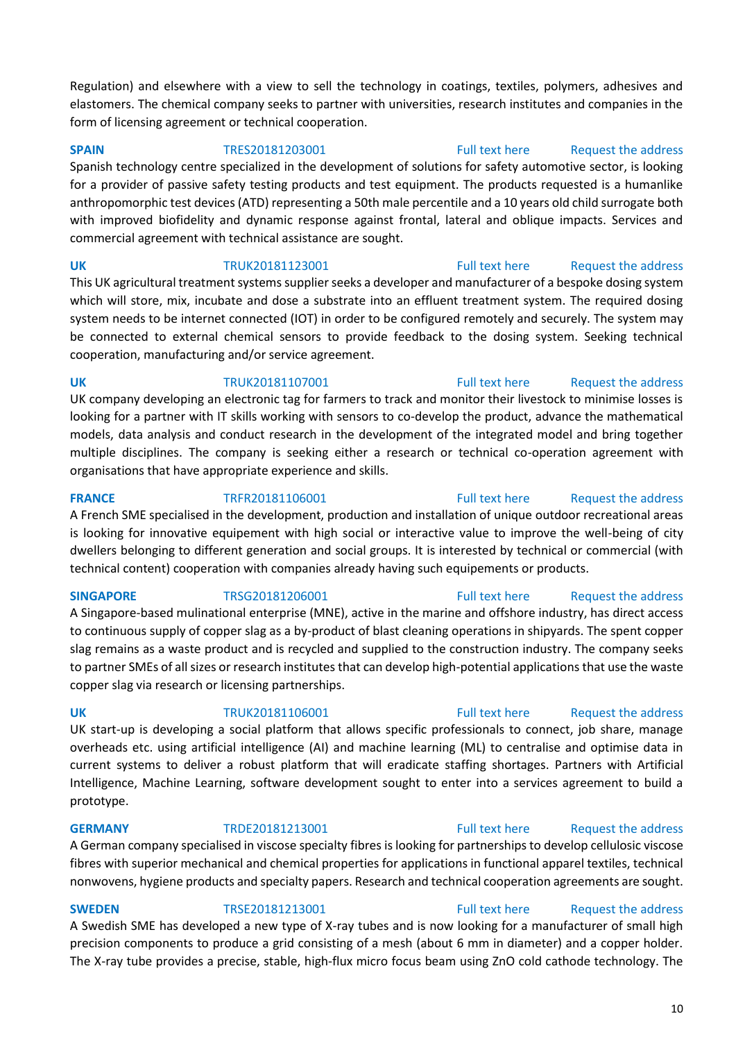Regulation) and elsewhere with a view to sell the technology in coatings, textiles, polymers, adhesives and elastomers. The chemical company seeks to partner with universities, research institutes and companies in the form of licensing agreement or technical cooperation.

**SPAIN** TRES20181203001 [Full text here](https://een.ec.europa.eu/tools/services/PRO/Profile/Detail/ff0a5d04-3315-4192-9f5c-8e808331506e) Request the address

Spanish technology centre specialized in the development of solutions for safety automotive sector, is looking for a provider of passive safety testing products and test equipment. The products requested is a humanlike anthropomorphic test devices (ATD) representing a 50th male percentile and a 10 years old child surrogate both with improved biofidelity and dynamic response against frontal, lateral and oblique impacts. Services and commercial agreement with technical assistance are sought.

**UK** TRUK20181123001 [Full text here](https://een.ec.europa.eu/tools/services/PRO/Profile/Detail/508f9844-cc3c-45de-b05c-4cf27bce3fd9) Request the address This UK agricultural treatment systems supplier seeks a developer and manufacturer of a bespoke dosing system which will store, mix, incubate and dose a substrate into an effluent treatment system. The required dosing system needs to be internet connected (IOT) in order to be configured remotely and securely. The system may be connected to external chemical sensors to provide feedback to the dosing system. Seeking technical cooperation, manufacturing and/or service agreement.

**UK** TRUK20181107001 [Full text here](https://een.ec.europa.eu/tools/services/PRO/Profile/Detail/5453e982-35b2-4aa1-913f-e88fd0085da7) Request the address UK company developing an electronic tag for farmers to track and monitor their livestock to minimise losses is looking for a partner with IT skills working with sensors to co-develop the product, advance the mathematical models, data analysis and conduct research in the development of the integrated model and bring together multiple disciplines. The company is seeking either a research or technical co-operation agreement with organisations that have appropriate experience and skills.

**FRANCE** TRFR20181106001 [Full text here](https://een.ec.europa.eu/tools/services/PRO/Profile/Detail/0b04f5e0-c45c-4f24-8384-83dfbd0c3f70) Request the address A French SME specialised in the development, production and installation of unique outdoor recreational areas is looking for innovative equipement with high social or interactive value to improve the well-being of city dwellers belonging to different generation and social groups. It is interested by technical or commercial (with technical content) cooperation with companies already having such equipements or products.

### **SINGAPORE** TRSG20181206001 [Full text here](https://een.ec.europa.eu/tools/services/PRO/Profile/Detail/d6a70af7-3760-4e0f-973b-c4ac8de8d8b7) Request the address

A Singapore-based mulinational enterprise (MNE), active in the marine and offshore industry, has direct access to continuous supply of copper slag as a by-product of blast cleaning operations in shipyards. The spent copper slag remains as a waste product and is recycled and supplied to the construction industry. The company seeks to partner SMEs of all sizes or research institutes that can develop high-potential applications that use the waste copper slag via research or licensing partnerships.

UK start-up is developing a social platform that allows specific professionals to connect, job share, manage overheads etc. using artificial intelligence (AI) and machine learning (ML) to centralise and optimise data in current systems to deliver a robust platform that will eradicate staffing shortages. Partners with Artificial Intelligence, Machine Learning, software development sought to enter into a services agreement to build a prototype.

A German company specialised in viscose specialty fibres is looking for partnerships to develop cellulosic viscose fibres with superior mechanical and chemical properties for applications in functional apparel textiles, technical nonwovens, hygiene products and specialty papers. Research and technical cooperation agreements are sought.

### **SWEDEN** TRSE20181213001 [Full text here](https://een.ec.europa.eu/tools/services/PRO/Profile/Detail/45d112cb-cf1e-4bcc-9ffa-190c7eaec92f) Request the address

A Swedish SME has developed a new type of X-ray tubes and is now looking for a manufacturer of small high precision components to produce a grid consisting of a mesh (about 6 mm in diameter) and a copper holder. The X-ray tube provides a precise, stable, high-flux micro focus beam using ZnO cold cathode technology. The

### **GERMANY** TRDE20181213001 [Full text here](https://een.ec.europa.eu/tools/services/PRO/Profile/Detail/fb77243a-a639-4920-af2a-2c688d80bde1) Request the address

## **UK** TRUK20181106001 [Full text here](https://een.ec.europa.eu/tools/services/PRO/Profile/Detail/c7a03cb0-1f9e-483d-bd3f-606184ad0bbd) Request the address